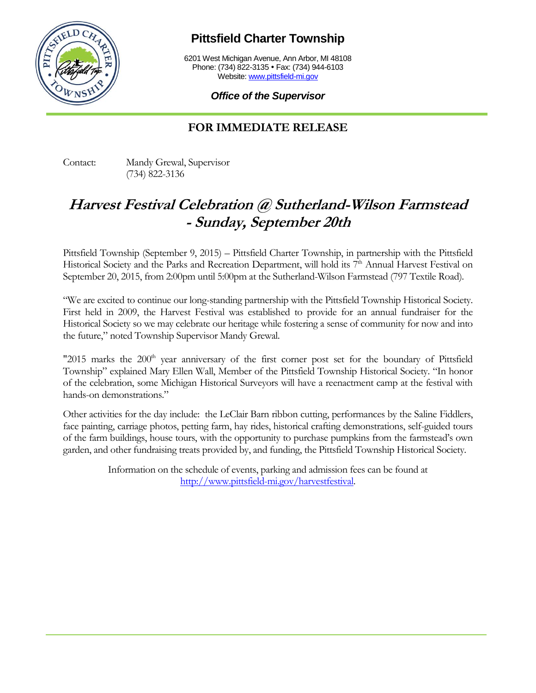

**Pittsfield Charter Township**

6201 West Michigan Avenue, Ann Arbor, MI 48108 Phone: (734) 822-3135 • Fax: (734) 944-6103 Website[: www.pittsfield-mi.gov](http://www.pittsfield-mi.gov/)

*Office of the Supervisor*

## **FOR IMMEDIATE RELEASE**

Contact: Mandy Grewal, Supervisor (734) 822-3136

## **Harvest Festival Celebration @ Sutherland-Wilson Farmstead - Sunday, September 20th**

Pittsfield Township (September 9, 2015) – Pittsfield Charter Township, in partnership with the Pittsfield Historical Society and the Parks and Recreation Department, will hold its 7<sup>th</sup> Annual Harvest Festival on September 20, 2015, from 2:00pm until 5:00pm at the Sutherland-Wilson Farmstead (797 Textile Road).

"We are excited to continue our long-standing partnership with the Pittsfield Township Historical Society. First held in 2009, the Harvest Festival was established to provide for an annual fundraiser for the Historical Society so we may celebrate our heritage while fostering a sense of community for now and into the future," noted Township Supervisor Mandy Grewal.

"2015 marks the 200<sup>th</sup> year anniversary of the first corner post set for the boundary of Pittsfield Township" explained Mary Ellen Wall, Member of the Pittsfield Township Historical Society. "In honor of the celebration, some Michigan Historical Surveyors will have a reenactment camp at the festival with hands-on demonstrations."

Other activities for the day include: the LeClair Barn ribbon cutting, performances by the Saline Fiddlers, face painting, carriage photos, petting farm, hay rides, historical crafting demonstrations, self-guided tours of the farm buildings, house tours, with the opportunity to purchase pumpkins from the farmstead's own garden, and other fundraising treats provided by, and funding, the Pittsfield Township Historical Society.

> Information on the schedule of events, parking and admission fees can be found at [http://www.pittsfield-mi.gov/harvestfestival.](http://www.pittsfield-mi.gov/harvestfestival)